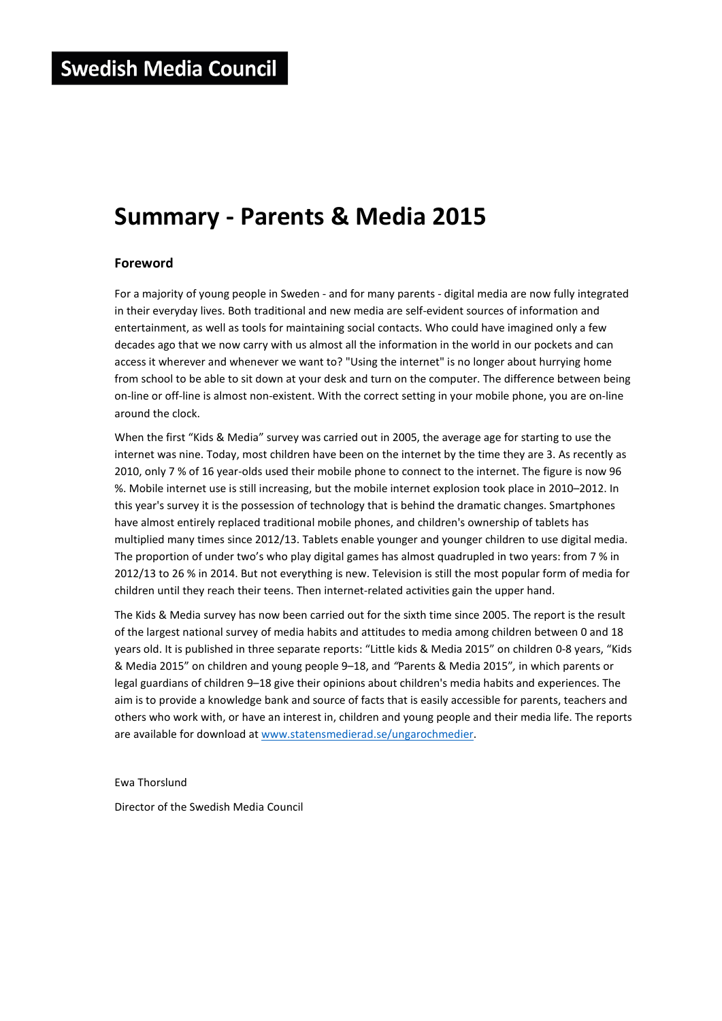# **Summary - Parents & Media 2015**

## **Foreword**

For a majority of young people in Sweden - and for many parents - digital media are now fully integrated in their everyday lives. Both traditional and new media are self-evident sources of information and entertainment, as well as tools for maintaining social contacts. Who could have imagined only a few decades ago that we now carry with us almost all the information in the world in our pockets and can access it wherever and whenever we want to? "Using the internet" is no longer about hurrying home from school to be able to sit down at your desk and turn on the computer. The difference between being on-line or off-line is almost non-existent. With the correct setting in your mobile phone, you are on-line around the clock.

When the first "Kids & Media" survey was carried out in 2005, the average age for starting to use the internet was nine. Today, most children have been on the internet by the time they are 3. As recently as 2010, only 7 % of 16 year-olds used their mobile phone to connect to the internet. The figure is now 96 %. Mobile internet use is still increasing, but the mobile internet explosion took place in 2010–2012. In this year's survey it is the possession of technology that is behind the dramatic changes. Smartphones have almost entirely replaced traditional mobile phones, and children's ownership of tablets has multiplied many times since 2012/13. Tablets enable younger and younger children to use digital media. The proportion of under two's who play digital games has almost quadrupled in two years: from 7 % in 2012/13 to 26 % in 2014. But not everything is new. Television is still the most popular form of media for children until they reach their teens. Then internet-related activities gain the upper hand.

The Kids & Media survey has now been carried out for the sixth time since 2005. The report is the result of the largest national survey of media habits and attitudes to media among children between 0 and 18 years old. It is published in three separate reports: "Little kids & Media 2015" on children 0-8 years, "Kids & Media 2015" on children and young people 9–18, and *"*Parents & Media 2015"*,* in which parents or legal guardians of children 9–18 give their opinions about children's media habits and experiences. The aim is to provide a knowledge bank and source of facts that is easily accessible for parents, teachers and others who work with, or have an interest in, children and young people and their media life. The reports are available for download at www.statensmedierad.se/ungarochmedier.

Ewa Thorslund

Director of the Swedish Media Council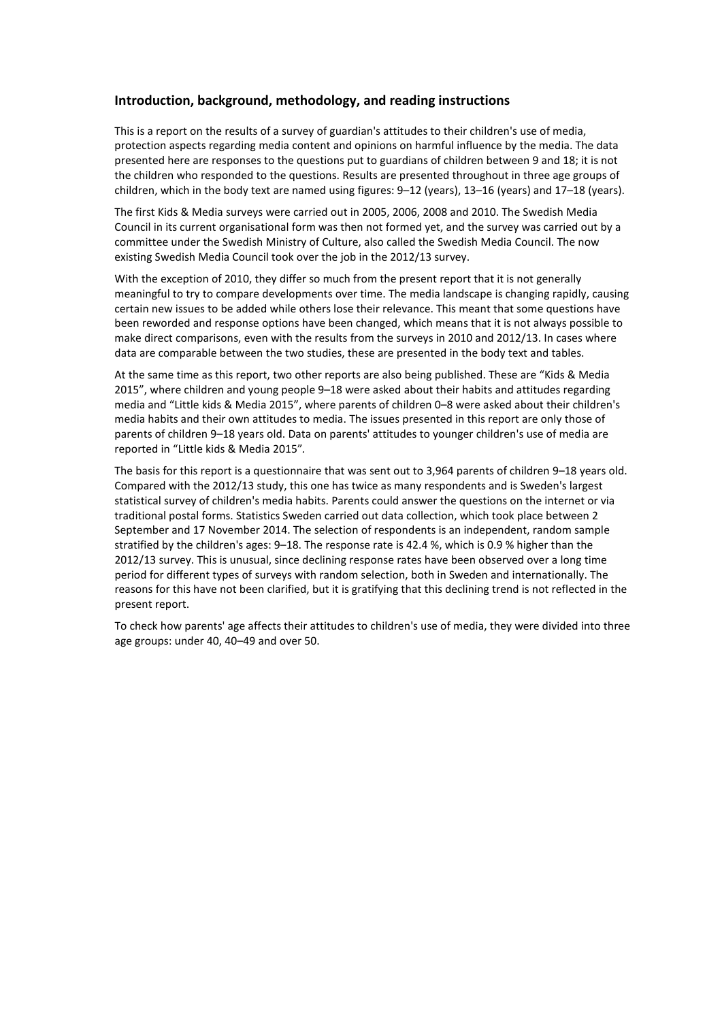### **Introduction, background, methodology, and reading instructions**

This is a report on the results of a survey of guardian's attitudes to their children's use of media, protection aspects regarding media content and opinions on harmful influence by the media. The data presented here are responses to the questions put to guardians of children between 9 and 18; it is not the children who responded to the questions. Results are presented throughout in three age groups of children, which in the body text are named using figures: 9–12 (years), 13–16 (years) and 17–18 (years).

The first Kids & Media surveys were carried out in 2005, 2006, 2008 and 2010. The Swedish Media Council in its current organisational form was then not formed yet, and the survey was carried out by a committee under the Swedish Ministry of Culture, also called the Swedish Media Council. The now existing Swedish Media Council took over the job in the 2012/13 survey.

With the exception of 2010, they differ so much from the present report that it is not generally meaningful to try to compare developments over time. The media landscape is changing rapidly, causing certain new issues to be added while others lose their relevance. This meant that some questions have been reworded and response options have been changed, which means that it is not always possible to make direct comparisons, even with the results from the surveys in 2010 and 2012/13. In cases where data are comparable between the two studies, these are presented in the body text and tables.

At the same time as this report, two other reports are also being published. These are "Kids & Media 2015", where children and young people 9–18 were asked about their habits and attitudes regarding media and "Little kids & Media 2015", where parents of children 0–8 were asked about their children's media habits and their own attitudes to media. The issues presented in this report are only those of parents of children 9–18 years old. Data on parents' attitudes to younger children's use of media are reported in "Little kids & Media 2015"*.* 

The basis for this report is a questionnaire that was sent out to 3,964 parents of children 9–18 years old. Compared with the 2012/13 study, this one has twice as many respondents and is Sweden's largest statistical survey of children's media habits. Parents could answer the questions on the internet or via traditional postal forms. Statistics Sweden carried out data collection, which took place between 2 September and 17 November 2014. The selection of respondents is an independent, random sample stratified by the children's ages: 9–18. The response rate is 42.4 %, which is 0.9 % higher than the 2012/13 survey. This is unusual, since declining response rates have been observed over a long time period for different types of surveys with random selection, both in Sweden and internationally. The reasons for this have not been clarified, but it is gratifying that this declining trend is not reflected in the present report.

To check how parents' age affects their attitudes to children's use of media, they were divided into three age groups: under 40, 40–49 and over 50.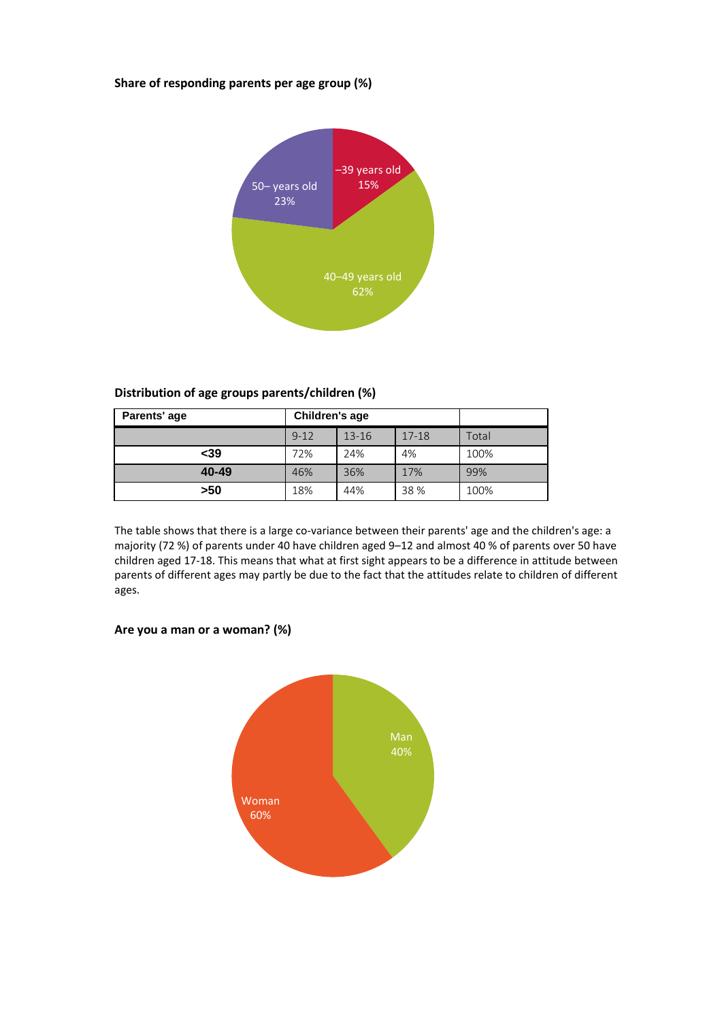## **Share of responding parents per age group (%)**



# **Distribution of age groups parents/children (%)**

| Parents' age | Children's age |           |           |       |
|--------------|----------------|-----------|-----------|-------|
|              | $9 - 12$       | $13 - 16$ | $17 - 18$ | Total |
| $39$         | 72%            | 24%       | 4%        | 100%  |
| 40-49        | 46%            | 36%       | 17%       | 99%   |
| >50          | 18%            | 44%       | 38 %      | 100%  |

The table shows that there is a large co-variance between their parents' age and the children's age: a majority (72 %) of parents under 40 have children aged 9–12 and almost 40 % of parents over 50 have children aged 17-18. This means that what at first sight appears to be a difference in attitude between parents of different ages may partly be due to the fact that the attitudes relate to children of different ages.



# **Are you a man or a woman? (%)**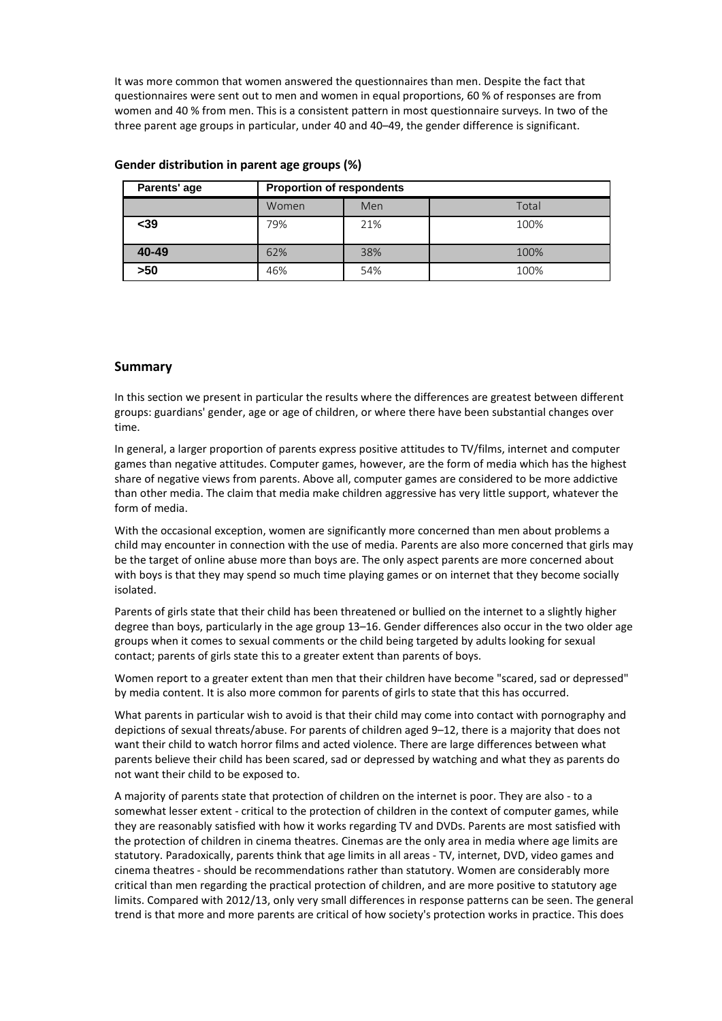It was more common that women answered the questionnaires than men. Despite the fact that questionnaires were sent out to men and women in equal proportions, 60 % of responses are from women and 40 % from men. This is a consistent pattern in most questionnaire surveys. In two of the three parent age groups in particular, under 40 and 40–49, the gender difference is significant.

| Parents' age | <b>Proportion of respondents</b> |     |       |  |  |
|--------------|----------------------------------|-----|-------|--|--|
|              | Women                            | Men | Total |  |  |
| <39          | 79%                              | 21% | 100%  |  |  |
| 40-49        | 62%                              | 38% | 100%  |  |  |
| $>50$        | 46%                              | 54% | 100%  |  |  |

#### **Gender distribution in parent age groups (%)**

#### **Summary**

In this section we present in particular the results where the differences are greatest between different groups: guardians' gender, age or age of children, or where there have been substantial changes over time.

In general, a larger proportion of parents express positive attitudes to TV/films, internet and computer games than negative attitudes. Computer games, however, are the form of media which has the highest share of negative views from parents. Above all, computer games are considered to be more addictive than other media. The claim that media make children aggressive has very little support, whatever the form of media.

With the occasional exception, women are significantly more concerned than men about problems a child may encounter in connection with the use of media. Parents are also more concerned that girls may be the target of online abuse more than boys are. The only aspect parents are more concerned about with boys is that they may spend so much time playing games or on internet that they become socially isolated.

Parents of girls state that their child has been threatened or bullied on the internet to a slightly higher degree than boys, particularly in the age group 13–16. Gender differences also occur in the two older age groups when it comes to sexual comments or the child being targeted by adults looking for sexual contact; parents of girls state this to a greater extent than parents of boys.

Women report to a greater extent than men that their children have become "scared, sad or depressed" by media content. It is also more common for parents of girls to state that this has occurred.

What parents in particular wish to avoid is that their child may come into contact with pornography and depictions of sexual threats/abuse. For parents of children aged 9–12, there is a majority that does not want their child to watch horror films and acted violence. There are large differences between what parents believe their child has been scared, sad or depressed by watching and what they as parents do not want their child to be exposed to.

A majority of parents state that protection of children on the internet is poor. They are also - to a somewhat lesser extent - critical to the protection of children in the context of computer games, while they are reasonably satisfied with how it works regarding TV and DVDs. Parents are most satisfied with the protection of children in cinema theatres. Cinemas are the only area in media where age limits are statutory. Paradoxically, parents think that age limits in all areas - TV, internet, DVD, video games and cinema theatres - should be recommendations rather than statutory. Women are considerably more critical than men regarding the practical protection of children, and are more positive to statutory age limits. Compared with 2012/13, only very small differences in response patterns can be seen. The general trend is that more and more parents are critical of how society's protection works in practice. This does